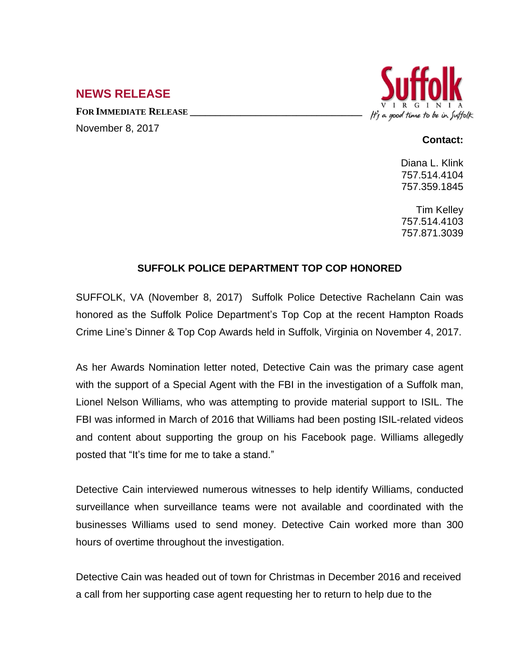## **NEWS RELEASE**

**FOR IMMEDIATE RELEASE \_\_\_\_\_\_\_\_\_\_\_\_\_\_\_\_\_\_\_\_\_\_\_\_\_\_\_\_\_\_\_\_\_\_**

November 8, 2017



## **Contact:**

Diana L. Klink 757.514.4104 757.359.1845

Tim Kelley 757.514.4103 757.871.3039

## **SUFFOLK POLICE DEPARTMENT TOP COP HONORED**

SUFFOLK, VA (November 8, 2017) Suffolk Police Detective Rachelann Cain was honored as the Suffolk Police Department's Top Cop at the recent Hampton Roads Crime Line's Dinner & Top Cop Awards held in Suffolk, Virginia on November 4, 2017.

As her Awards Nomination letter noted, Detective Cain was the primary case agent with the support of a Special Agent with the FBI in the investigation of a Suffolk man, Lionel Nelson Williams, who was attempting to provide material support to ISIL. The FBI was informed in March of 2016 that Williams had been posting ISIL-related videos and content about supporting the group on his Facebook page. Williams allegedly posted that "It's time for me to take a stand."

Detective Cain interviewed numerous witnesses to help identify Williams, conducted surveillance when surveillance teams were not available and coordinated with the businesses Williams used to send money. Detective Cain worked more than 300 hours of overtime throughout the investigation.

Detective Cain was headed out of town for Christmas in December 2016 and received a call from her supporting case agent requesting her to return to help due to the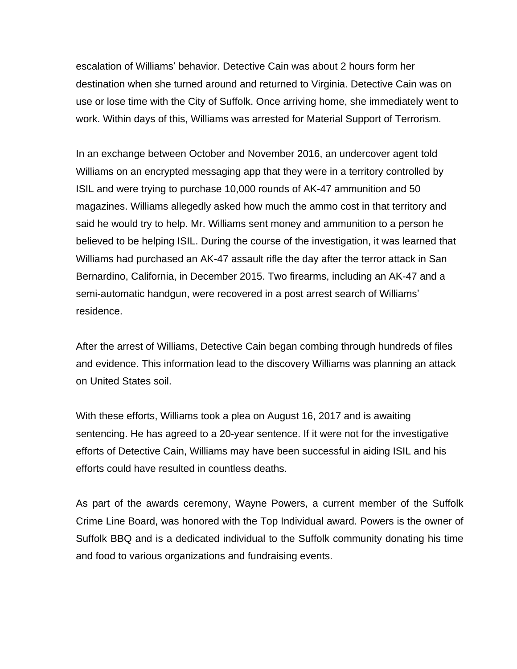escalation of Williams' behavior. Detective Cain was about 2 hours form her destination when she turned around and returned to Virginia. Detective Cain was on use or lose time with the City of Suffolk. Once arriving home, she immediately went to work. Within days of this, Williams was arrested for Material Support of Terrorism.

In an exchange between October and November 2016, an undercover agent told Williams on an encrypted messaging app that they were in a territory controlled by ISIL and were trying to purchase 10,000 rounds of AK-47 ammunition and 50 magazines. Williams allegedly asked how much the ammo cost in that territory and said he would try to help. Mr. Williams sent money and ammunition to a person he believed to be helping ISIL. During the course of the investigation, it was learned that Williams had purchased an AK-47 assault rifle the day after the terror attack in San Bernardino, California, in December 2015. Two firearms, including an AK-47 and a semi-automatic handgun, were recovered in a post arrest search of Williams' residence.

After the arrest of Williams, Detective Cain began combing through hundreds of files and evidence. This information lead to the discovery Williams was planning an attack on United States soil.

With these efforts, Williams took a plea on August 16, 2017 and is awaiting sentencing. He has agreed to a 20-year sentence. If it were not for the investigative efforts of Detective Cain, Williams may have been successful in aiding ISIL and his efforts could have resulted in countless deaths.

As part of the awards ceremony, Wayne Powers, a current member of the Suffolk Crime Line Board, was honored with the Top Individual award. Powers is the owner of Suffolk BBQ and is a dedicated individual to the Suffolk community donating his time and food to various organizations and fundraising events.